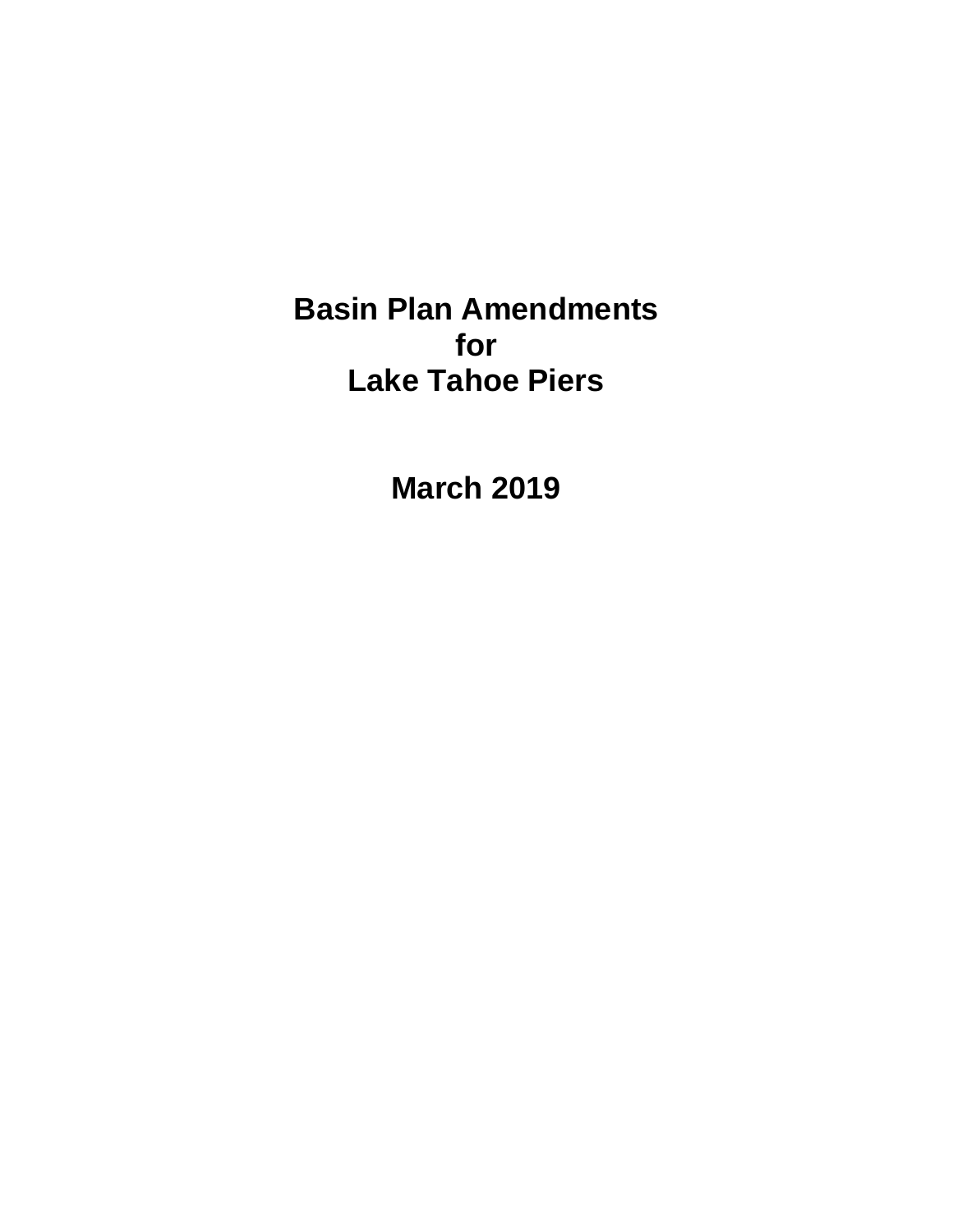**Basin Plan Amendments for Lake Tahoe Piers** 

**March 2019**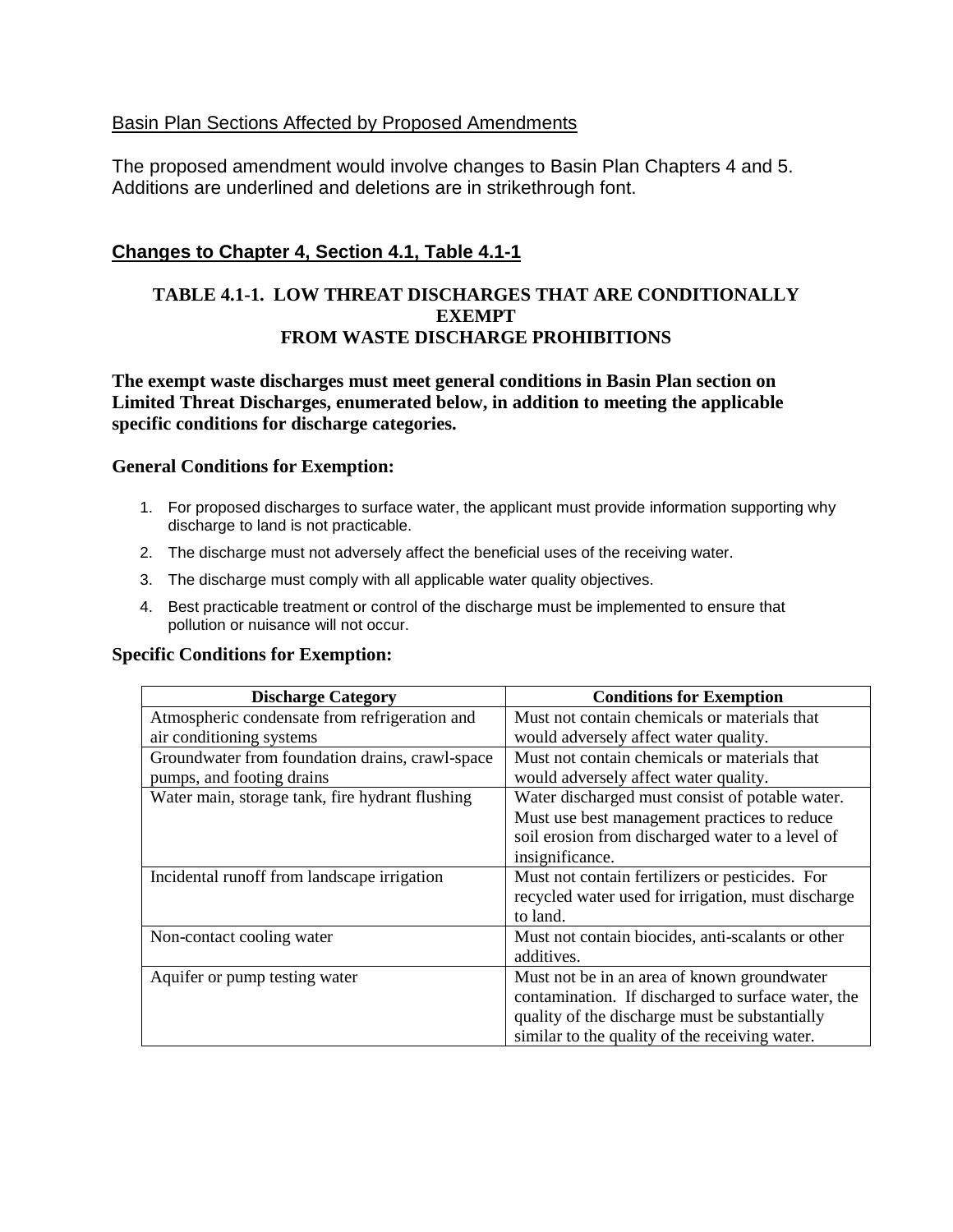### Basin Plan Sections Affected by Proposed Amendments

The proposed amendment would involve changes to Basin Plan Chapters 4 and 5. Additions are underlined and deletions are in strikethrough font.

# **Changes to Chapter 4, Section 4.1, Table 4.1-1**

## **TABLE 4.1-1. LOW THREAT DISCHARGES THAT ARE CONDITIONALLY EXEMPT FROM WASTE DISCHARGE PROHIBITIONS**

**The exempt waste discharges must meet general conditions in Basin Plan section on Limited Threat Discharges, enumerated below, in addition to meeting the applicable specific conditions for discharge categories.**

### **General Conditions for Exemption:**

- 1. For proposed discharges to surface water, the applicant must provide information supporting why discharge to land is not practicable.
- 2. The discharge must not adversely affect the beneficial uses of the receiving water.
- 3. The discharge must comply with all applicable water quality objectives.
- 4. Best practicable treatment or control of the discharge must be implemented to ensure that pollution or nuisance will not occur.

### **Specific Conditions for Exemption:**

| <b>Discharge Category</b>                       | <b>Conditions for Exemption</b>                    |
|-------------------------------------------------|----------------------------------------------------|
| Atmospheric condensate from refrigeration and   | Must not contain chemicals or materials that       |
| air conditioning systems                        | would adversely affect water quality.              |
| Groundwater from foundation drains, crawl-space | Must not contain chemicals or materials that       |
| pumps, and footing drains                       | would adversely affect water quality.              |
| Water main, storage tank, fire hydrant flushing | Water discharged must consist of potable water.    |
|                                                 | Must use best management practices to reduce       |
|                                                 | soil erosion from discharged water to a level of   |
|                                                 | insignificance.                                    |
| Incidental runoff from landscape irrigation     | Must not contain fertilizers or pesticides. For    |
|                                                 | recycled water used for irrigation, must discharge |
|                                                 | to land.                                           |
| Non-contact cooling water                       | Must not contain biocides, anti-scalants or other  |
|                                                 | additives.                                         |
| Aquifer or pump testing water                   | Must not be in an area of known groundwater        |
|                                                 | contamination. If discharged to surface water, the |
|                                                 | quality of the discharge must be substantially     |
|                                                 | similar to the quality of the receiving water.     |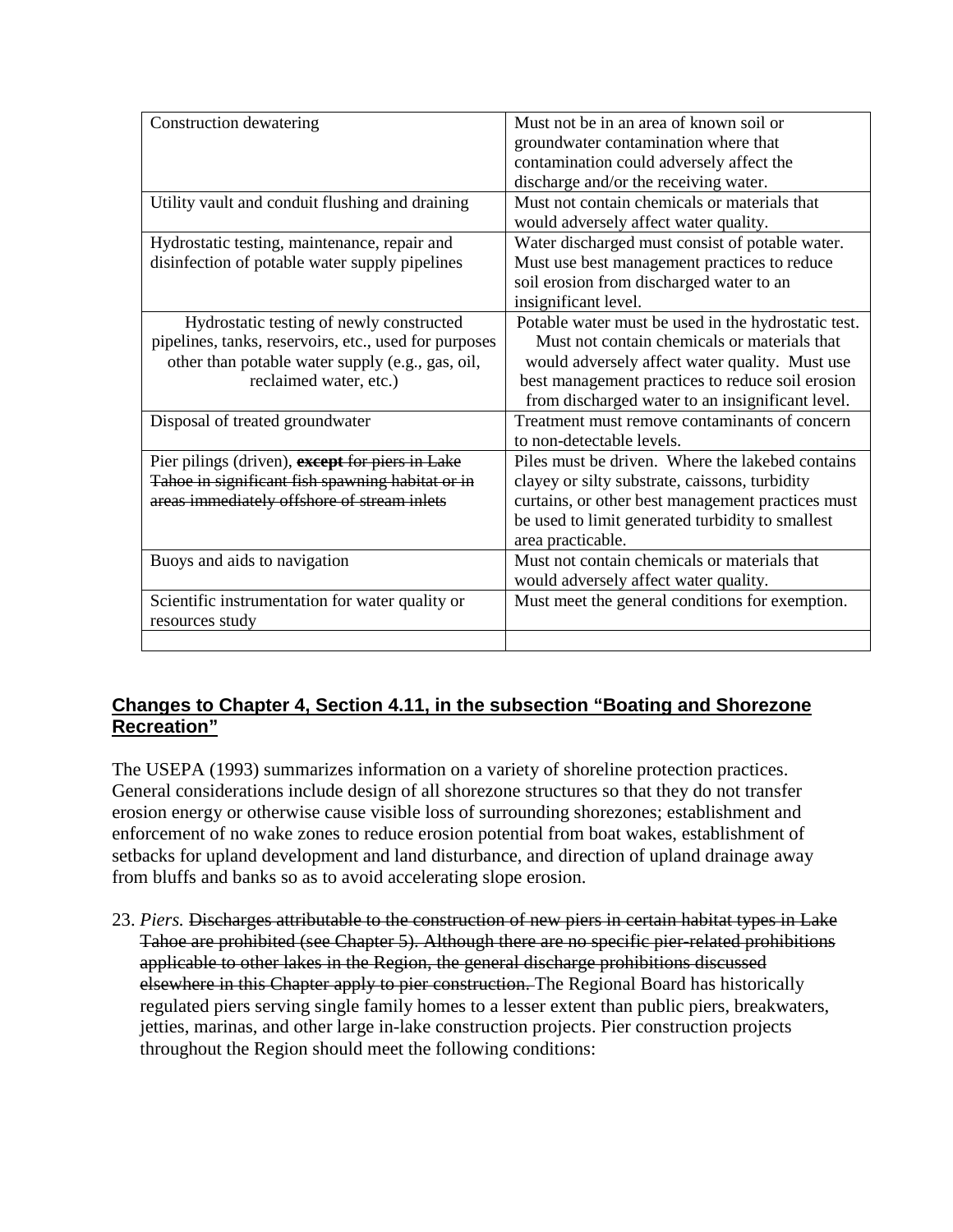| Construction dewatering                               | Must not be in an area of known soil or             |
|-------------------------------------------------------|-----------------------------------------------------|
|                                                       | groundwater contamination where that                |
|                                                       | contamination could adversely affect the            |
|                                                       | discharge and/or the receiving water.               |
| Utility vault and conduit flushing and draining       | Must not contain chemicals or materials that        |
|                                                       | would adversely affect water quality.               |
| Hydrostatic testing, maintenance, repair and          | Water discharged must consist of potable water.     |
| disinfection of potable water supply pipelines        | Must use best management practices to reduce        |
|                                                       | soil erosion from discharged water to an            |
|                                                       | insignificant level.                                |
| Hydrostatic testing of newly constructed              | Potable water must be used in the hydrostatic test. |
| pipelines, tanks, reservoirs, etc., used for purposes | Must not contain chemicals or materials that        |
| other than potable water supply (e.g., gas, oil,      | would adversely affect water quality. Must use      |
| reclaimed water, etc.)                                | best management practices to reduce soil erosion    |
|                                                       | from discharged water to an insignificant level.    |
| Disposal of treated groundwater                       | Treatment must remove contaminants of concern       |
|                                                       | to non-detectable levels.                           |
| Pier pilings (driven), except for piers in Lake       | Piles must be driven. Where the lakebed contains    |
| Tahoe in significant fish spawning habitat or in      | clayey or silty substrate, caissons, turbidity      |
| areas immediately offshore of stream inlets           | curtains, or other best management practices must   |
|                                                       | be used to limit generated turbidity to smallest    |
|                                                       | area practicable.                                   |
| Buoys and aids to navigation                          | Must not contain chemicals or materials that        |
|                                                       | would adversely affect water quality.               |
| Scientific instrumentation for water quality or       | Must meet the general conditions for exemption.     |
| resources study                                       |                                                     |
|                                                       |                                                     |

# **Changes to Chapter 4, Section 4.11, in the subsection "Boating and Shorezone Recreation"**

The USEPA (1993) summarizes information on a variety of shoreline protection practices. General considerations include design of all shorezone structures so that they do not transfer erosion energy or otherwise cause visible loss of surrounding shorezones; establishment and enforcement of no wake zones to reduce erosion potential from boat wakes, establishment of setbacks for upland development and land disturbance, and direction of upland drainage away from bluffs and banks so as to avoid accelerating slope erosion.

23. *Piers.* Discharges attributable to the construction of new piers in certain habitat types in Lake Tahoe are prohibited (see Chapter 5). Although there are no specific pier-related prohibitions applicable to other lakes in the Region, the general discharge prohibitions discussed elsewhere in this Chapter apply to pier construction. The Regional Board has historically regulated piers serving single family homes to a lesser extent than public piers, breakwaters, jetties, marinas, and other large in-lake construction projects. Pier construction projects throughout the Region should meet the following conditions: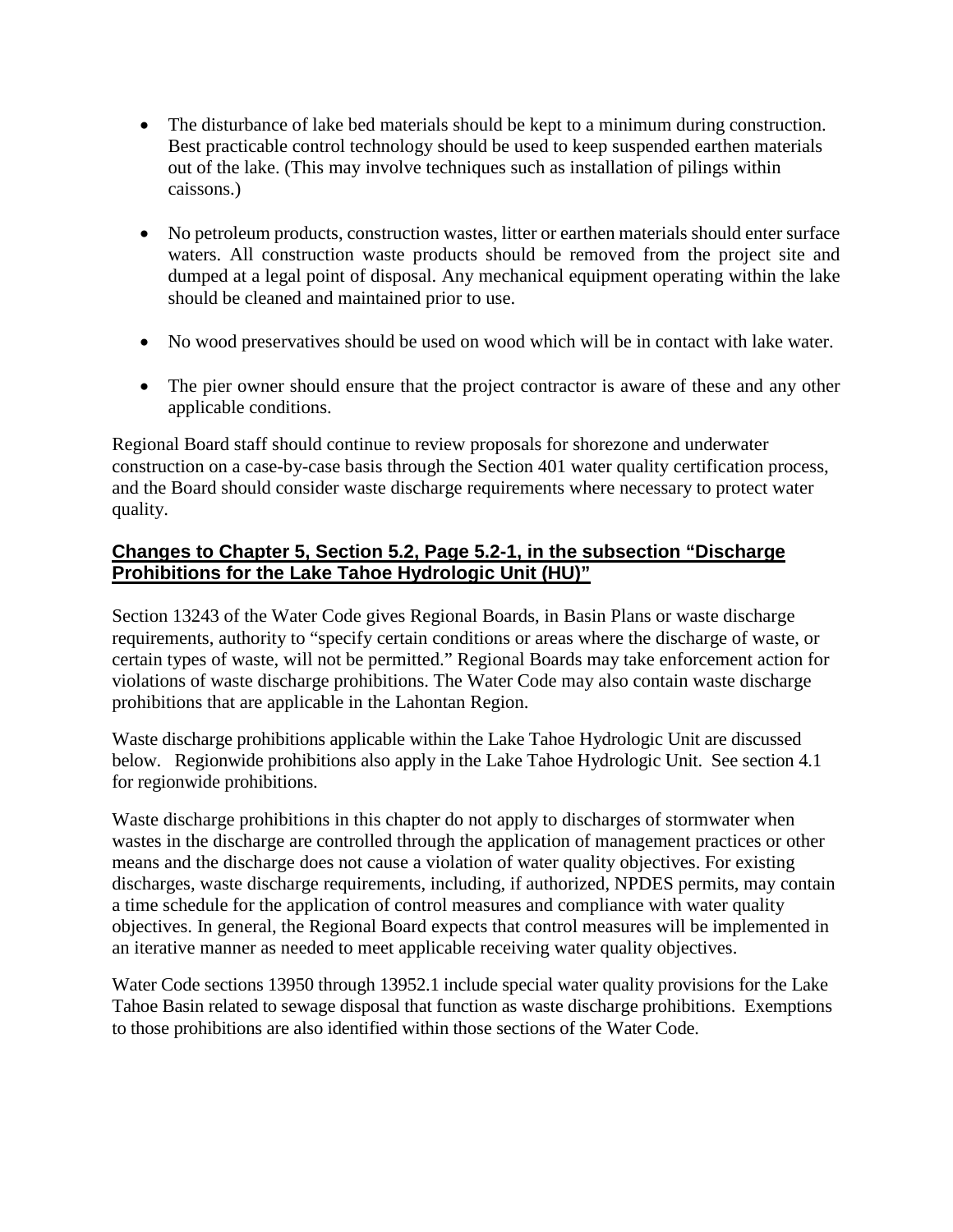- The disturbance of lake bed materials should be kept to a minimum during construction. Best practicable control technology should be used to keep suspended earthen materials out of the lake. (This may involve techniques such as installation of pilings within caissons.)
- No petroleum products, construction wastes, litter or earthen materials should enter surface waters. All construction waste products should be removed from the project site and dumped at a legal point of disposal. Any mechanical equipment operating within the lake should be cleaned and maintained prior to use.
- No wood preservatives should be used on wood which will be in contact with lake water.
- The pier owner should ensure that the project contractor is aware of these and any other applicable conditions.

Regional Board staff should continue to review proposals for shorezone and underwater construction on a case-by-case basis through the Section 401 water quality certification process, and the Board should consider waste discharge requirements where necessary to protect water quality.

## **Changes to Chapter 5, Section 5.2, Page 5.2-1, in the subsection "Discharge Prohibitions for the Lake Tahoe Hydrologic Unit (HU)"**

Section 13243 of the Water Code gives Regional Boards, in Basin Plans or waste discharge requirements, authority to "specify certain conditions or areas where the discharge of waste, or certain types of waste, will not be permitted." Regional Boards may take enforcement action for violations of waste discharge prohibitions. The Water Code may also contain waste discharge prohibitions that are applicable in the Lahontan Region.

Waste discharge prohibitions applicable within the Lake Tahoe Hydrologic Unit are discussed below. Regionwide prohibitions also apply in the Lake Tahoe Hydrologic Unit. See section 4.1 for regionwide prohibitions.

Waste discharge prohibitions in this chapter do not apply to discharges of stormwater when wastes in the discharge are controlled through the application of management practices or other means and the discharge does not cause a violation of water quality objectives. For existing discharges, waste discharge requirements, including, if authorized, NPDES permits, may contain a time schedule for the application of control measures and compliance with water quality objectives. In general, the Regional Board expects that control measures will be implemented in an iterative manner as needed to meet applicable receiving water quality objectives.

Water Code sections 13950 through 13952.1 include special water quality provisions for the Lake Tahoe Basin related to sewage disposal that function as waste discharge prohibitions. Exemptions to those prohibitions are also identified within those sections of the Water Code.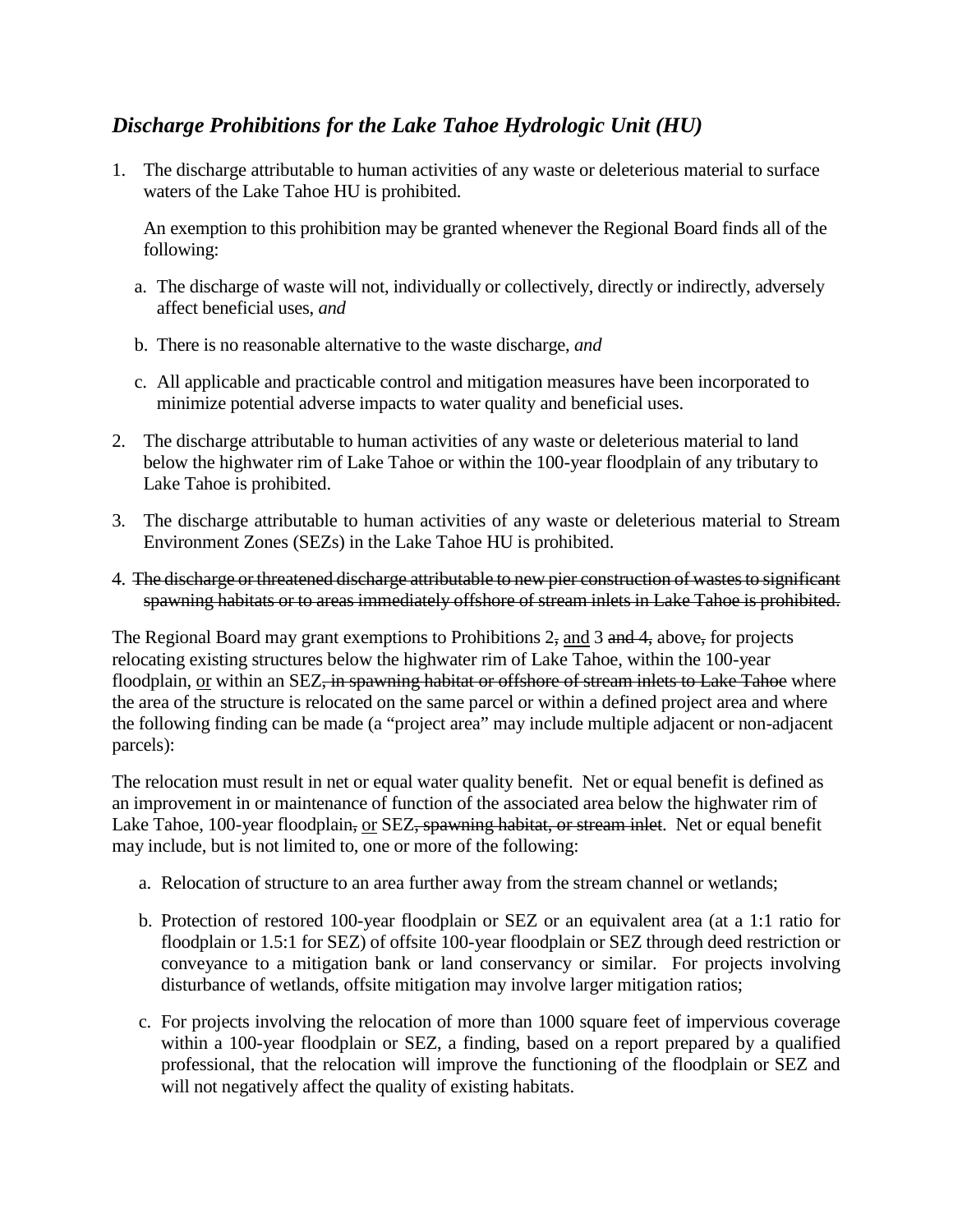# *Discharge Prohibitions for the Lake Tahoe Hydrologic Unit (HU)*

1. The discharge attributable to human activities of any waste or deleterious material to surface waters of the Lake Tahoe HU is prohibited.

An exemption to this prohibition may be granted whenever the Regional Board finds all of the following:

- a. The discharge of waste will not, individually or collectively, directly or indirectly, adversely affect beneficial uses, *and*
- b. There is no reasonable alternative to the waste discharge, *and*
- c. All applicable and practicable control and mitigation measures have been incorporated to minimize potential adverse impacts to water quality and beneficial uses.
- 2. The discharge attributable to human activities of any waste or deleterious material to land below the highwater rim of Lake Tahoe or within the 100-year floodplain of any tributary to Lake Tahoe is prohibited.
- 3. The discharge attributable to human activities of any waste or deleterious material to Stream Environment Zones (SEZs) in the Lake Tahoe HU is prohibited.
- 4. The discharge or threatened discharge attributable to new pier construction of wastes to significant spawning habitats or to areas immediately offshore of stream inlets in Lake Tahoe is prohibited.

The Regional Board may grant exemptions to Prohibitions 2, and 3 and 4, above, for projects relocating existing structures below the highwater rim of Lake Tahoe, within the 100-year floodplain, or within an SEZ, in spawning habitat or offshore of stream inlets to Lake Tahoe where the area of the structure is relocated on the same parcel or within a defined project area and where the following finding can be made (a "project area" may include multiple adjacent or non-adjacent parcels):

The relocation must result in net or equal water quality benefit. Net or equal benefit is defined as an improvement in or maintenance of function of the associated area below the highwater rim of Lake Tahoe, 100-year floodplain, or SEZ, spawning habitat, or stream inlet. Net or equal benefit may include, but is not limited to, one or more of the following:

- a. Relocation of structure to an area further away from the stream channel or wetlands;
- b. Protection of restored 100-year floodplain or SEZ or an equivalent area (at a 1:1 ratio for floodplain or 1.5:1 for SEZ) of offsite 100-year floodplain or SEZ through deed restriction or conveyance to a mitigation bank or land conservancy or similar. For projects involving disturbance of wetlands, offsite mitigation may involve larger mitigation ratios;
- c. For projects involving the relocation of more than 1000 square feet of impervious coverage within a 100-year floodplain or SEZ, a finding, based on a report prepared by a qualified professional, that the relocation will improve the functioning of the floodplain or SEZ and will not negatively affect the quality of existing habitats.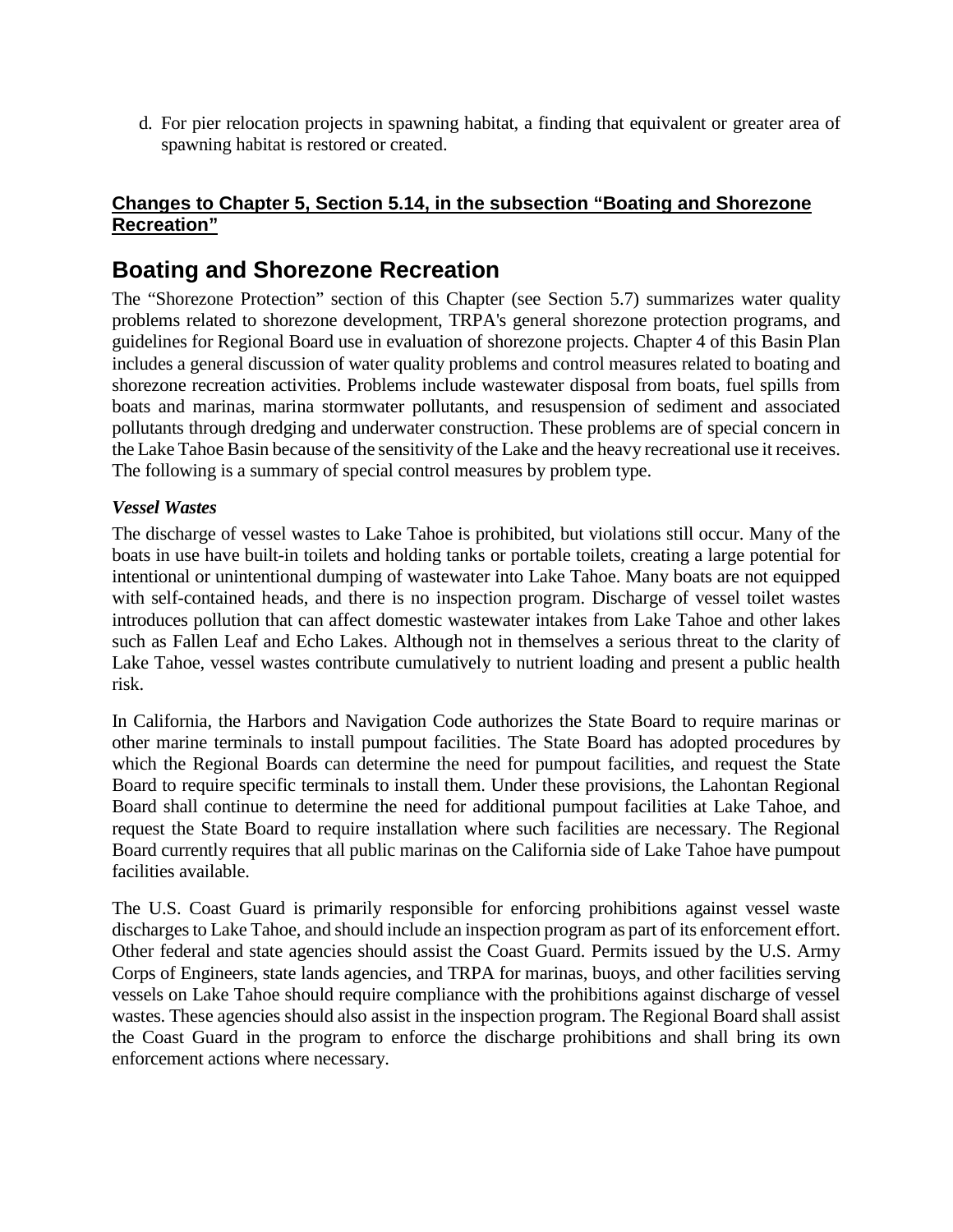d. For pier relocation projects in spawning habitat, a finding that equivalent or greater area of spawning habitat is restored or created.

# **Changes to Chapter 5, Section 5.14, in the subsection "Boating and Shorezone Recreation"**

# **Boating and Shorezone Recreation**

The "Shorezone Protection" section of this Chapter (see Section 5.7) summarizes water quality problems related to shorezone development, TRPA's general shorezone protection programs, and guidelines for Regional Board use in evaluation of shorezone projects. Chapter 4 of this Basin Plan includes a general discussion of water quality problems and control measures related to boating and shorezone recreation activities. Problems include wastewater disposal from boats, fuel spills from boats and marinas, marina stormwater pollutants, and resuspension of sediment and associated pollutants through dredging and underwater construction. These problems are of special concern in the Lake Tahoe Basin because of the sensitivity of the Lake and the heavy recreational use it receives. The following is a summary of special control measures by problem type.

### *Vessel Wastes*

The discharge of vessel wastes to Lake Tahoe is prohibited, but violations still occur. Many of the boats in use have built-in toilets and holding tanks or portable toilets, creating a large potential for intentional or unintentional dumping of wastewater into Lake Tahoe. Many boats are not equipped with self-contained heads, and there is no inspection program. Discharge of vessel toilet wastes introduces pollution that can affect domestic wastewater intakes from Lake Tahoe and other lakes such as Fallen Leaf and Echo Lakes. Although not in themselves a serious threat to the clarity of Lake Tahoe, vessel wastes contribute cumulatively to nutrient loading and present a public health risk.

In California, the Harbors and Navigation Code authorizes the State Board to require marinas or other marine terminals to install pumpout facilities. The State Board has adopted procedures by which the Regional Boards can determine the need for pumpout facilities, and request the State Board to require specific terminals to install them. Under these provisions, the Lahontan Regional Board shall continue to determine the need for additional pumpout facilities at Lake Tahoe, and request the State Board to require installation where such facilities are necessary. The Regional Board currently requires that all public marinas on the California side of Lake Tahoe have pumpout facilities available.

The U.S. Coast Guard is primarily responsible for enforcing prohibitions against vessel waste discharges to Lake Tahoe, and should include an inspection program as part of its enforcement effort. Other federal and state agencies should assist the Coast Guard. Permits issued by the U.S. Army Corps of Engineers, state lands agencies, and TRPA for marinas, buoys, and other facilities serving vessels on Lake Tahoe should require compliance with the prohibitions against discharge of vessel wastes. These agencies should also assist in the inspection program. The Regional Board shall assist the Coast Guard in the program to enforce the discharge prohibitions and shall bring its own enforcement actions where necessary.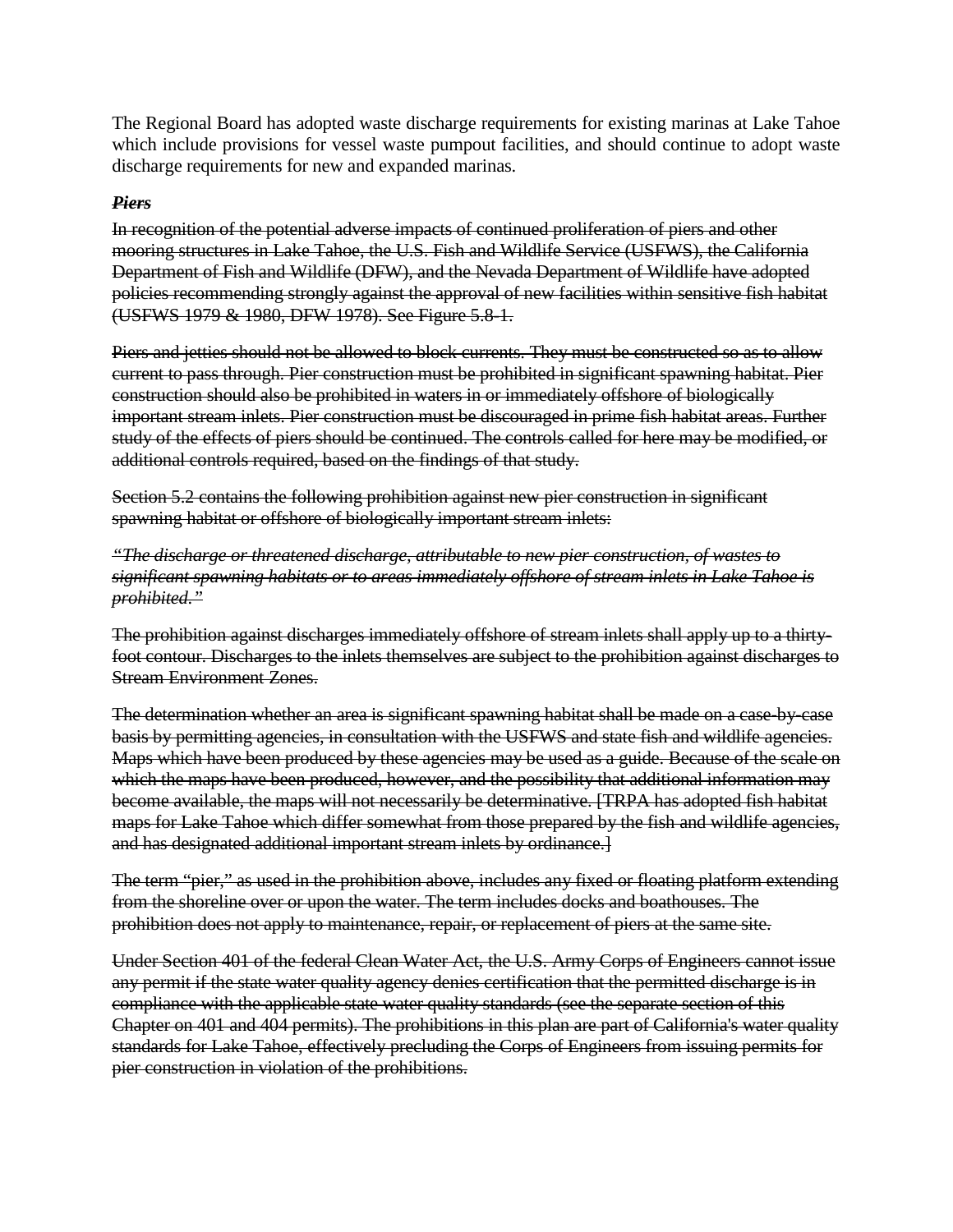The Regional Board has adopted waste discharge requirements for existing marinas at Lake Tahoe which include provisions for vessel waste pumpout facilities, and should continue to adopt waste discharge requirements for new and expanded marinas.

### *Piers*

In recognition of the potential adverse impacts of continued proliferation of piers and other mooring structures in Lake Tahoe, the U.S. Fish and Wildlife Service (USFWS), the California Department of Fish and Wildlife (DFW), and the Nevada Department of Wildlife have adopted policies recommending strongly against the approval of new facilities within sensitive fish habitat (USFWS 1979 & 1980, DFW 1978). See Figure 5.8-1.

Piers and jetties should not be allowed to block currents. They must be constructed so as to allow current to pass through. Pier construction must be prohibited in significant spawning habitat. Pier construction should also be prohibited in waters in or immediately offshore of biologically important stream inlets. Pier construction must be discouraged in prime fish habitat areas. Further study of the effects of piers should be continued. The controls called for here may be modified, or additional controls required, based on the findings of that study.

Section 5.2 contains the following prohibition against new pier construction in significant spawning habitat or offshore of biologically important stream inlets:

*"The discharge or threatened discharge, attributable to new pier construction, of wastes to significant spawning habitats or to areas immediately offshore of stream inlets in Lake Tahoe is prohibited."*

The prohibition against discharges immediately offshore of stream inlets shall apply up to a thirtyfoot contour. Discharges to the inlets themselves are subject to the prohibition against discharges to Stream Environment Zones.

The determination whether an area is significant spawning habitat shall be made on a case-by-case basis by permitting agencies, in consultation with the USFWS and state fish and wildlife agencies. Maps which have been produced by these agencies may be used as a guide. Because of the scale on which the maps have been produced, however, and the possibility that additional information may become available, the maps will not necessarily be determinative. [TRPA has adopted fish habitat maps for Lake Tahoe which differ somewhat from those prepared by the fish and wildlife agencies, and has designated additional important stream inlets by ordinance.]

The term "pier," as used in the prohibition above, includes any fixed or floating platform extending from the shoreline over or upon the water. The term includes docks and boathouses. The prohibition does not apply to maintenance, repair, or replacement of piers at the same site.

Under Section 401 of the federal Clean Water Act, the U.S. Army Corps of Engineers cannot issue any permit if the state water quality agency denies certification that the permitted discharge is in compliance with the applicable state water quality standards (see the separate section of this Chapter on 401 and 404 permits). The prohibitions in this plan are part of California's water quality standards for Lake Tahoe, effectively precluding the Corps of Engineers from issuing permits for pier construction in violation of the prohibitions.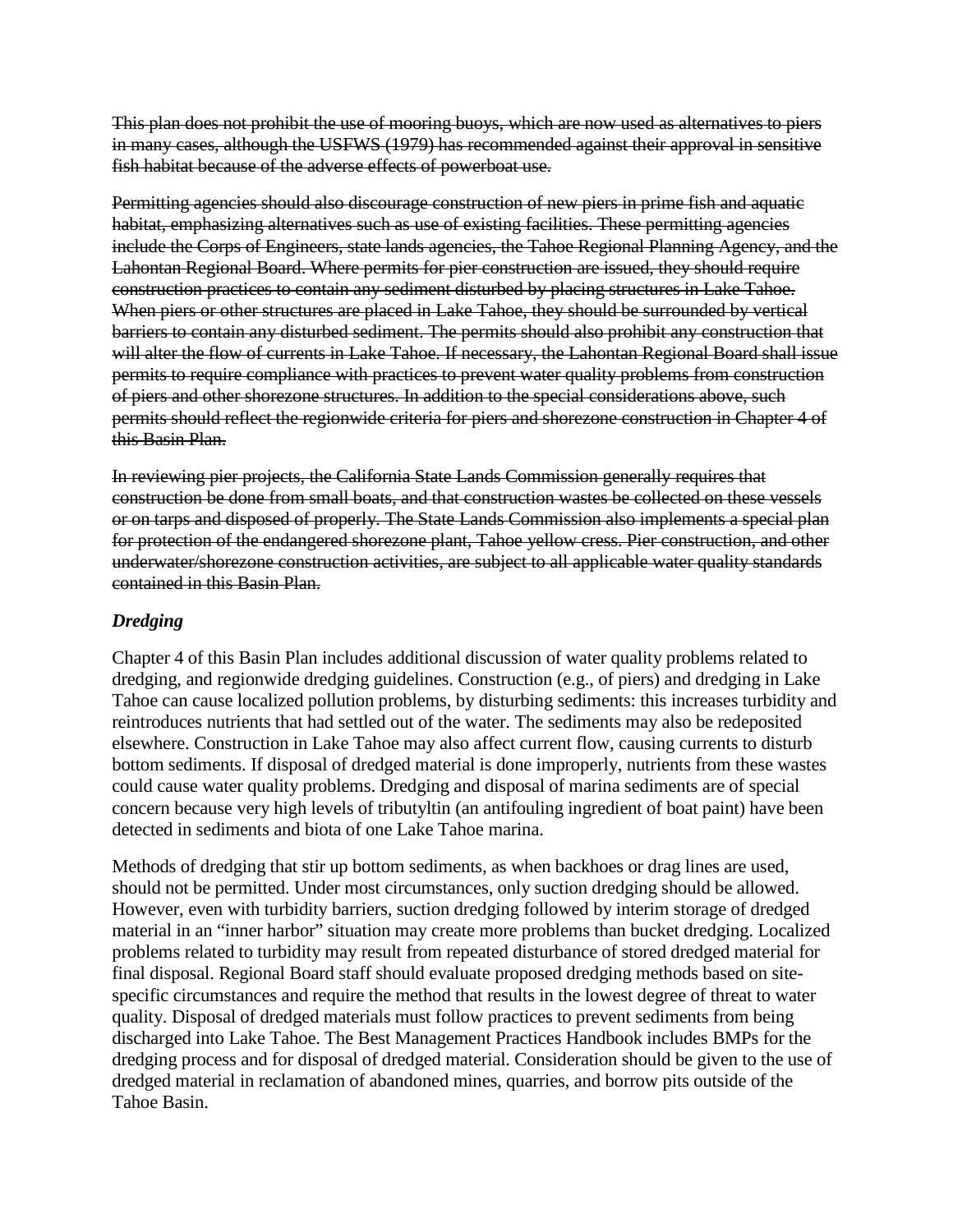This plan does not prohibit the use of mooring buoys, which are now used as alternatives to piers in many cases, although the USFWS (1979) has recommended against their approval in sensitive fish habitat because of the adverse effects of powerboat use.

Permitting agencies should also discourage construction of new piers in prime fish and aquatic habitat, emphasizing alternatives such as use of existing facilities. These permitting agencies include the Corps of Engineers, state lands agencies, the Tahoe Regional Planning Agency, and the Lahontan Regional Board. Where permits for pier construction are issued, they should require construction practices to contain any sediment disturbed by placing structures in Lake Tahoe. When piers or other structures are placed in Lake Tahoe, they should be surrounded by vertical barriers to contain any disturbed sediment. The permits should also prohibit any construction that will alter the flow of currents in Lake Tahoe. If necessary, the Lahontan Regional Board shall issue permits to require compliance with practices to prevent water quality problems from construction of piers and other shorezone structures. In addition to the special considerations above, such permits should reflect the regionwide criteria for piers and shorezone construction in Chapter 4 of this Basin Plan.

In reviewing pier projects, the California State Lands Commission generally requires that construction be done from small boats, and that construction wastes be collected on these vessels or on tarps and disposed of properly. The State Lands Commission also implements a special plan for protection of the endangered shorezone plant, Tahoe yellow cress. Pier construction, and other underwater/shorezone construction activities, are subject to all applicable water quality standards contained in this Basin Plan.

### *Dredging*

Chapter 4 of this Basin Plan includes additional discussion of water quality problems related to dredging, and regionwide dredging guidelines. Construction (e.g., of piers) and dredging in Lake Tahoe can cause localized pollution problems, by disturbing sediments: this increases turbidity and reintroduces nutrients that had settled out of the water. The sediments may also be redeposited elsewhere. Construction in Lake Tahoe may also affect current flow, causing currents to disturb bottom sediments. If disposal of dredged material is done improperly, nutrients from these wastes could cause water quality problems. Dredging and disposal of marina sediments are of special concern because very high levels of tributyltin (an antifouling ingredient of boat paint) have been detected in sediments and biota of one Lake Tahoe marina.

Methods of dredging that stir up bottom sediments, as when backhoes or drag lines are used, should not be permitted. Under most circumstances, only suction dredging should be allowed. However, even with turbidity barriers, suction dredging followed by interim storage of dredged material in an "inner harbor" situation may create more problems than bucket dredging. Localized problems related to turbidity may result from repeated disturbance of stored dredged material for final disposal. Regional Board staff should evaluate proposed dredging methods based on sitespecific circumstances and require the method that results in the lowest degree of threat to water quality. Disposal of dredged materials must follow practices to prevent sediments from being discharged into Lake Tahoe. The Best Management Practices Handbook includes BMPs for the dredging process and for disposal of dredged material. Consideration should be given to the use of dredged material in reclamation of abandoned mines, quarries, and borrow pits outside of the Tahoe Basin.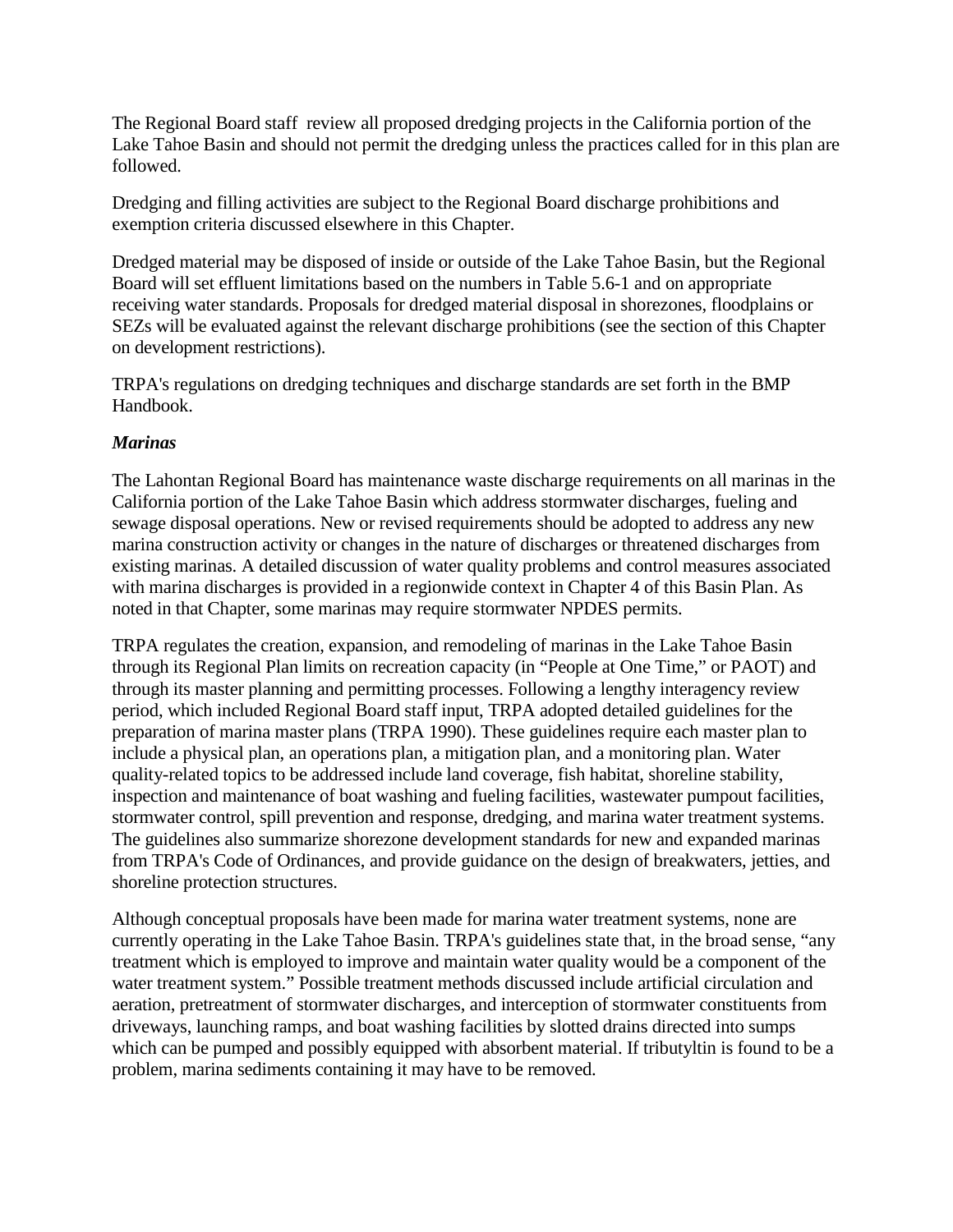The Regional Board staff review all proposed dredging projects in the California portion of the Lake Tahoe Basin and should not permit the dredging unless the practices called for in this plan are followed.

Dredging and filling activities are subject to the Regional Board discharge prohibitions and exemption criteria discussed elsewhere in this Chapter.

Dredged material may be disposed of inside or outside of the Lake Tahoe Basin, but the Regional Board will set effluent limitations based on the numbers in Table 5.6-1 and on appropriate receiving water standards. Proposals for dredged material disposal in shorezones, floodplains or SEZs will be evaluated against the relevant discharge prohibitions (see the section of this Chapter on development restrictions).

TRPA's regulations on dredging techniques and discharge standards are set forth in the BMP Handbook.

### *Marinas*

The Lahontan Regional Board has maintenance waste discharge requirements on all marinas in the California portion of the Lake Tahoe Basin which address stormwater discharges, fueling and sewage disposal operations. New or revised requirements should be adopted to address any new marina construction activity or changes in the nature of discharges or threatened discharges from existing marinas. A detailed discussion of water quality problems and control measures associated with marina discharges is provided in a regionwide context in Chapter 4 of this Basin Plan. As noted in that Chapter, some marinas may require stormwater NPDES permits.

TRPA regulates the creation, expansion, and remodeling of marinas in the Lake Tahoe Basin through its Regional Plan limits on recreation capacity (in "People at One Time," or PAOT) and through its master planning and permitting processes. Following a lengthy interagency review period, which included Regional Board staff input, TRPA adopted detailed guidelines for the preparation of marina master plans (TRPA 1990). These guidelines require each master plan to include a physical plan, an operations plan, a mitigation plan, and a monitoring plan. Water quality-related topics to be addressed include land coverage, fish habitat, shoreline stability, inspection and maintenance of boat washing and fueling facilities, wastewater pumpout facilities, stormwater control, spill prevention and response, dredging, and marina water treatment systems. The guidelines also summarize shorezone development standards for new and expanded marinas from TRPA's Code of Ordinances, and provide guidance on the design of breakwaters, jetties, and shoreline protection structures.

Although conceptual proposals have been made for marina water treatment systems, none are currently operating in the Lake Tahoe Basin. TRPA's guidelines state that, in the broad sense, "any treatment which is employed to improve and maintain water quality would be a component of the water treatment system." Possible treatment methods discussed include artificial circulation and aeration, pretreatment of stormwater discharges, and interception of stormwater constituents from driveways, launching ramps, and boat washing facilities by slotted drains directed into sumps which can be pumped and possibly equipped with absorbent material. If tributyltin is found to be a problem, marina sediments containing it may have to be removed.